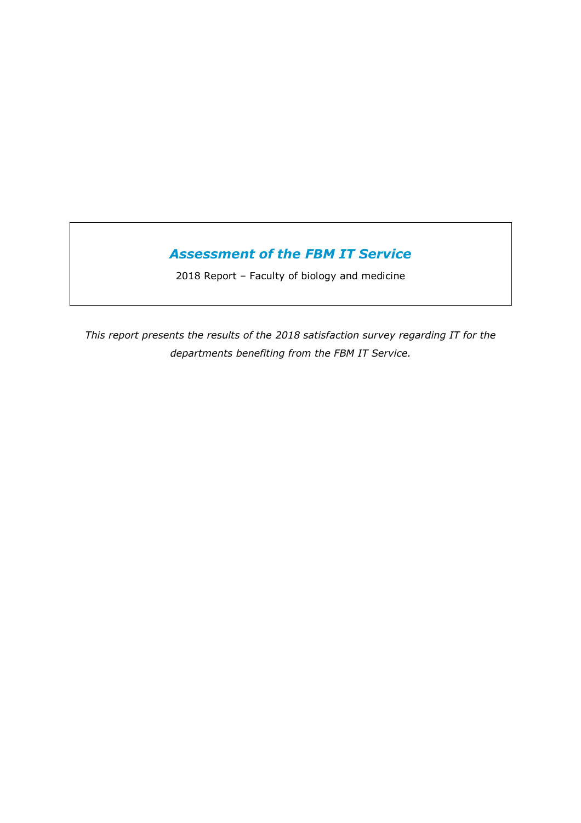# *Assessment of the FBM IT Service*

2018 Report – Faculty of biology and medicine

*This report presents the results of the 2018 satisfaction survey regarding IT for the departments benefiting from the FBM IT Service.*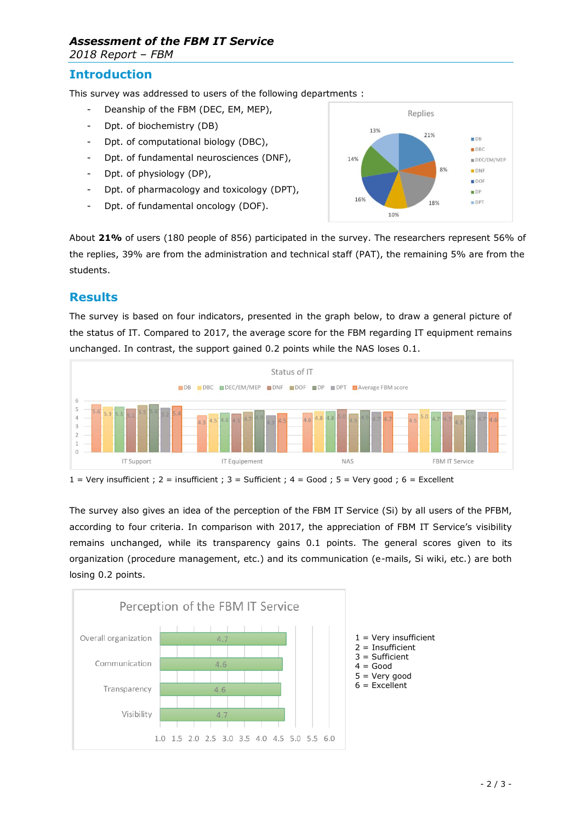# *Assessment of the FBM IT Service*

*2018 Report – FBM*

#### **Introduction**

This survey was addressed to users of the following departments :

- Deanship of the FBM (DEC, EM, MEP),
- Dpt. of biochemistry (DB)
- Dpt. of computational biology (DBC),
- Dpt. of fundamental neurosciences (DNF),
- Dpt. of physiology (DP),
- Dpt. of pharmacology and toxicology (DPT),
- Dpt. of fundamental oncology (DOF).



About **21%** of users (180 people of 856) participated in the survey. The researchers represent 56% of the replies, 39% are from the administration and technical staff (PAT), the remaining 5% are from the students.

## **Results**

The survey is based on four indicators, presented in the graph below, to draw a general picture of the status of IT. Compared to 2017, the average score for the FBM regarding IT equipment remains unchanged. In contrast, the support gained 0.2 points while the NAS loses 0.1.



 $1 =$  Very insufficient ; 2 = insufficient ; 3 = Sufficient ; 4 = Good ; 5 = Very good ; 6 = Excellent

The survey also gives an idea of the perception of the FBM IT Service (Si) by all users of the PFBM, according to four criteria. In comparison with 2017, the appreciation of FBM IT Service's visibility remains unchanged, while its transparency gains 0.1 points. The general scores given to its organization (procedure management, etc.) and its communication (e-mails, Si wiki, etc.) are both losing 0.2 points.